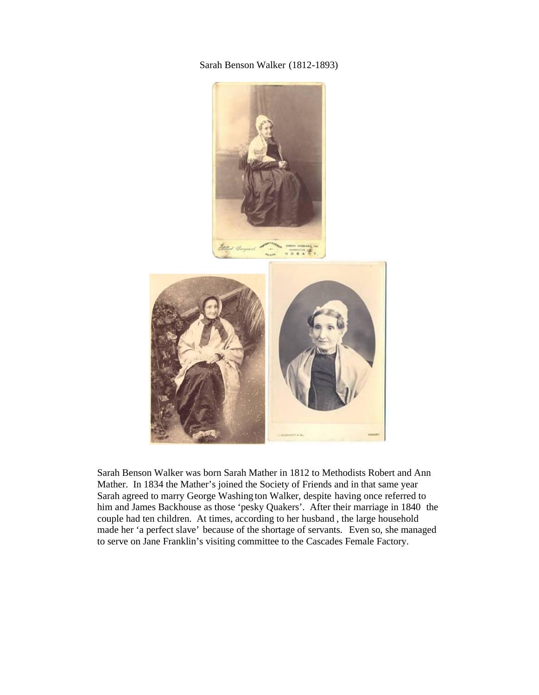Sarah Benson Walker (1812-1893)



Sarah Benson Walker was born Sarah Mather in 1812 to Methodists Robert and Ann Mather. In 1834 the Mather's joined the Society of Friends and in that same year Sarah agreed to marry George Washing ton Walker, despite having once referred to him and James Backhouse as those 'pesky Quakers'. After their marriage in 1840 the couple had ten children. At times, according to her husband , the large household made her 'a perfect slave' because of the shortage of servants. Even so, she managed to serve on Jane Franklin's visiting committee to the Cascades Female Factory.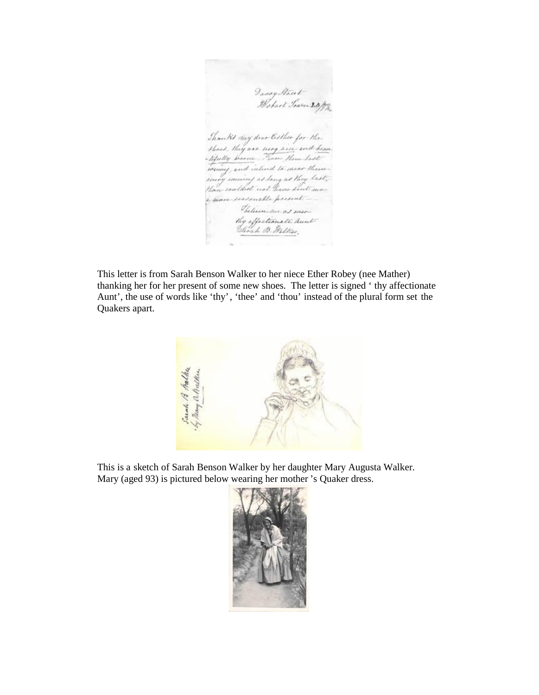Davey Mart-<br>Webart Sown 20/12 Thouth clay dear Cother for the<br>shoed, they are seen pice end becau<br>tifully brance. Them them hast toring, and intend to cause theme. sering seeming as lang as they last, more seasanable present-Selici me as men thy offectionate aunt-<br>Savah B. Malker,

This letter is from Sarah Benson Walker to her niece Ether Robey (nee Mather) thanking her for her present of some new shoes. The letter is signed ' thy affectionate Aunt', the use of words like 'thy', 'thee' and 'thou' instead of the plural form set the Quakers apart.



This is a sketch of Sarah Benson Walker by her daughter Mary Augusta Walker. Mary (aged 93) is pictured below wearing her mother 's Quaker dress.

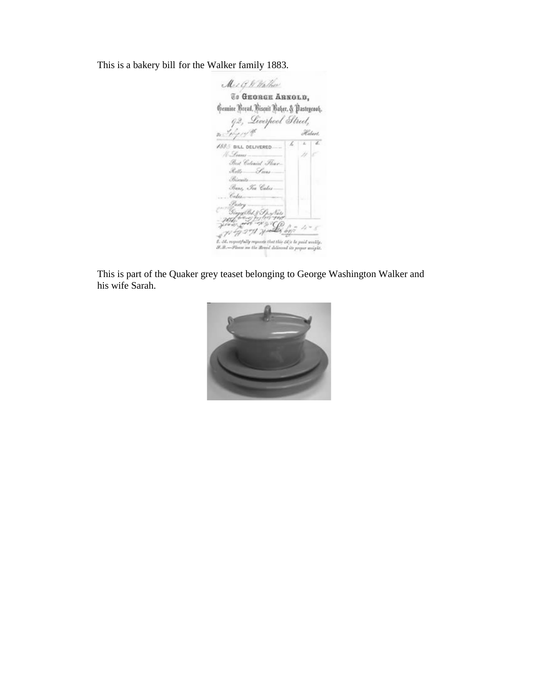This is a bakery bill for the Walker family 1883.

Mer G. W. Walker To GEORGE ARKOLD, Genuine Bread, Viscuit Baher, & Pastrycook. 92, Liverpool Street, n Selger t Hebert.  $\overline{\mathbf{z}}$ 7  $\sqrt{385}$  BILL DELIVERED k, /l-Lomi-Best Colonial Fleur-Rotts Seas Birmits Bans, Tea Cabes-Calu-:<br>Ginggilds & Gyz<br>1994 - Gyzet Hyz<br>1994 - Ferdinand Kir  $-1$ ï  $2 - 1$ file the bit Ÿ2 54. requestably requests that this 54% be poid workly.  $9.8.$ w na the Braid delivered its proper weight.

This is part of the Quaker grey teaset belonging to George Washington Walker and his wife Sarah.